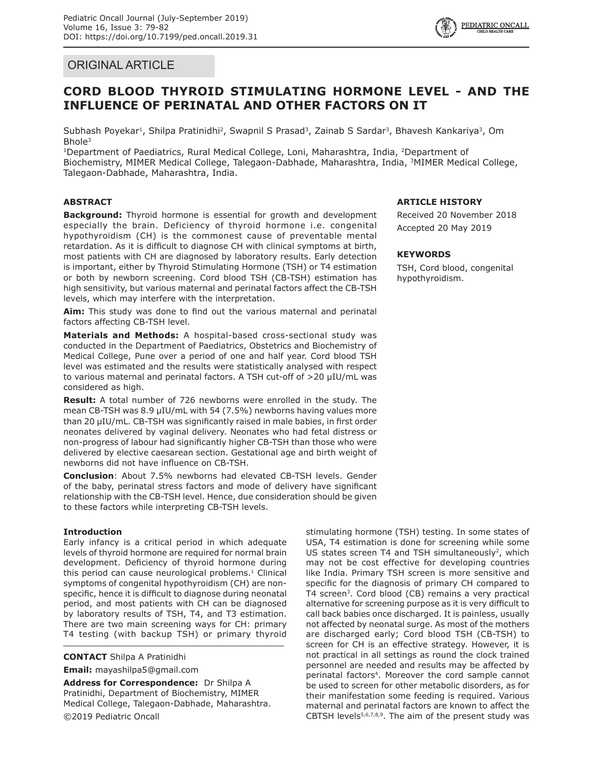

# ORIGINAL ARTICLE

# **CORD BLOOD THYROID STIMULATING HORMONE LEVEL - AND THE INFLUENCE OF PERINATAL AND OTHER FACTORS ON IT**

Subhash Poyekar<sup>1</sup>, Shilpa Pratinidhi<sup>2</sup>, Swapnil S Prasad<sup>3</sup>, Zainab S Sardar<sup>3</sup>, Bhavesh Kankariya<sup>3</sup>, Om Bhole3

<sup>1</sup>Department of Paediatrics, Rural Medical College, Loni, Maharashtra, India, <sup>2</sup>Department of Biochemistry, MIMER Medical College, Talegaon-Dabhade, Maharashtra, India, 3MIMER Medical College, Talegaon-Dabhade, Maharashtra, India.

# **ABSTRACT**

**Background:** Thyroid hormone is essential for growth and development especially the brain. Deficiency of thyroid hormone i.e. congenital hypothyroidism (CH) is the commonest cause of preventable mental retardation. As it is difficult to diagnose CH with clinical symptoms at birth, most patients with CH are diagnosed by laboratory results. Early detection is important, either by Thyroid Stimulating Hormone (TSH) or T4 estimation or both by newborn screening. Cord blood TSH (CB-TSH) estimation has high sensitivity, but various maternal and perinatal factors affect the CB-TSH levels, which may interfere with the interpretation.

**Aim:** This study was done to find out the various maternal and perinatal factors affecting CB-TSH level.

**Materials and Methods:** A hospital-based cross-sectional study was conducted in the Department of Paediatrics, Obstetrics and Biochemistry of Medical College, Pune over a period of one and half year. Cord blood TSH level was estimated and the results were statistically analysed with respect to various maternal and perinatal factors. A TSH cut-off of >20 µIU/mL was considered as high.

**Result:** A total number of 726 newborns were enrolled in the study. The mean CB-TSH was 8.9 µIU/mL with 54 (7.5%) newborns having values more than 20 µIU/mL. CB-TSH was significantly raised in male babies, in first order neonates delivered by vaginal delivery. Neonates who had fetal distress or non-progress of labour had significantly higher CB-TSH than those who were delivered by elective caesarean section. Gestational age and birth weight of newborns did not have influence on CB-TSH.

**Conclusion**: About 7.5% newborns had elevated CB-TSH levels. Gender of the baby, perinatal stress factors and mode of delivery have significant relationship with the CB-TSH level. Hence, due consideration should be given to these factors while interpreting CB-TSH levels.

## **Introduction**

Early infancy is a critical period in which adequate levels of thyroid hormone are required for normal brain development. Deficiency of thyroid hormone during this period can cause neurological problems. $1$  Clinical symptoms of congenital hypothyroidism (CH) are nonspecific, hence it is difficult to diagnose during neonatal period, and most patients with CH can be diagnosed by laboratory results of TSH, T4, and T3 estimation. There are two main screening ways for CH: primary T4 testing (with backup TSH) or primary thyroid

**CONTACT** Shilpa A Pratinidhi

**Email:** mayashilpa5@gmail.com

**Address for Correspondence:** Dr Shilpa A Pratinidhi, Department of Biochemistry, MIMER Medical College, Talegaon-Dabhade, Maharashtra. ©2019 Pediatric Oncall

## **ARTICLE HISTORY**

Received 20 November 2018 Accepted 20 May 2019

## **KEYWORDS**

TSH, Cord blood, congenital hypothyroidism.

stimulating hormone (TSH) testing. In some states of USA, T4 estimation is done for screening while some US states screen T4 and TSH simultaneously<sup>2</sup>, which may not be cost effective for developing countries like India. Primary TSH screen is more sensitive and specific for the diagnosis of primary CH compared to T4 screen<sup>3</sup>. Cord blood (CB) remains a very practical alternative for screening purpose as it is very difficult to call back babies once discharged. It is painless, usually not affected by neonatal surge. As most of the mothers are discharged early; Cord blood TSH (CB-TSH) to screen for CH is an effective strategy. However, it is not practical in all settings as round the clock trained personnel are needed and results may be affected by perinatal factors<sup>4</sup>. Moreover the cord sample cannot be used to screen for other metabolic disorders, as for their manifestation some feeding is required. Various maternal and perinatal factors are known to affect the CBTSH levels $5,6,7,8,9$ . The aim of the present study was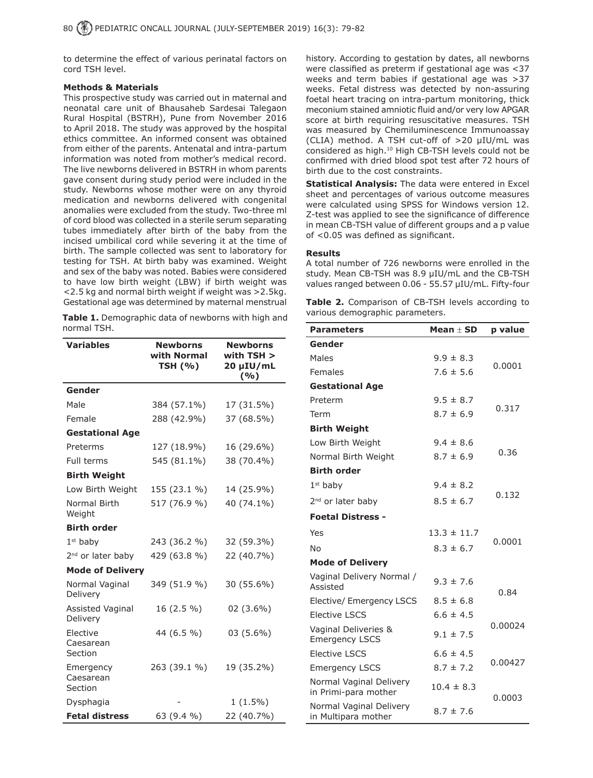to determine the effect of various perinatal factors on cord TSH level.

#### **Methods & Materials**

This prospective study was carried out in maternal and neonatal care unit of Bhausaheb Sardesai Talegaon Rural Hospital (BSTRH), Pune from November 2016 to April 2018. The study was approved by the hospital ethics committee. An informed consent was obtained from either of the parents. Antenatal and intra-partum information was noted from mother's medical record. The live newborns delivered in BSTRH in whom parents gave consent during study period were included in the study. Newborns whose mother were on any thyroid medication and newborns delivered with congenital anomalies were excluded from the study. Two-three ml of cord blood was collected in a sterile serum separating tubes immediately after birth of the baby from the incised umbilical cord while severing it at the time of birth. The sample collected was sent to laboratory for testing for TSH. At birth baby was examined. Weight and sex of the baby was noted. Babies were considered to have low birth weight (LBW) if birth weight was <2.5 kg and normal birth weight if weight was >2.5kg. Gestational age was determined by maternal menstrual

**Table 1.** Demographic data of newborns with high and normal TSH.

| <b>Variables</b>                  | <b>Newborns</b><br>with Normal<br><b>TSH (%)</b> | <b>Newborns</b><br>with $TSH >$<br>20 µIU/mL<br>(%) |
|-----------------------------------|--------------------------------------------------|-----------------------------------------------------|
| Gender                            |                                                  |                                                     |
| Male                              | 384 (57.1%)                                      | 17 (31.5%)                                          |
| Female                            | 288 (42.9%)                                      | 37 (68.5%)                                          |
| <b>Gestational Age</b>            |                                                  |                                                     |
| Preterms                          | 127 (18.9%)                                      | 16 (29.6%)                                          |
| Full terms                        | 545 (81.1%)                                      | 38 (70.4%)                                          |
| <b>Birth Weight</b>               |                                                  |                                                     |
| Low Birth Weight                  | 155 (23.1 %)                                     | 14 (25.9%)                                          |
| Normal Birth<br>Weight            | 517 (76.9 %)                                     | 40 (74.1%)                                          |
| <b>Birth order</b>                |                                                  |                                                     |
| $1st$ baby                        | 243 (36.2 %)                                     | 32 (59.3%)                                          |
| 2 <sup>nd</sup> or later baby     | 429 (63.8 %)                                     | 22 (40.7%)                                          |
| <b>Mode of Delivery</b>           |                                                  |                                                     |
| Normal Vaginal<br>Delivery        | 349 (51.9 %)                                     | 30 (55.6%)                                          |
| Assisted Vaginal<br>Delivery      | 16 (2.5 %)                                       | $02(3.6\%)$                                         |
| Elective<br>Caesarean<br>Section  | 44 (6.5 %)                                       | 03 (5.6%)                                           |
| Emergency<br>Caesarean<br>Section | 263 (39.1 %)                                     | 19 (35.2%)                                          |
| Dysphagia                         |                                                  | $1(1.5\%)$                                          |
| <b>Fetal distress</b>             | 63 (9.4 %)                                       | 22 (40.7%)                                          |

history. According to gestation by dates, all newborns were classified as preterm if gestational age was <37 weeks and term babies if gestational age was >37 weeks. Fetal distress was detected by non-assuring foetal heart tracing on intra-partum monitoring, thick meconium stained amniotic fluid and/or very low APGAR score at birth requiring resuscitative measures. TSH was measured by Chemiluminescence Immunoassay (CLIA) method. A TSH cut-off of >20 µIU/mL was considered as high.<sup>10</sup> High CB-TSH levels could not be confirmed with dried blood spot test after 72 hours of birth due to the cost constraints.

**Statistical Analysis:** The data were entered in Excel sheet and percentages of various outcome measures were calculated using SPSS for Windows version 12. Z-test was applied to see the significance of difference in mean CB-TSH value of different groups and a p value of <0.05 was defined as significant.

#### **Results**

A total number of 726 newborns were enrolled in the study. Mean CB-TSH was 8.9 µIU/mL and the CB-TSH values ranged between 0.06 - 55.57 µIU/mL. Fifty-four

**Table 2.** Comparison of CB-TSH levels according to various demographic parameters.

| <b>Parameters</b>                               | Mean $\pm$ SD   | p value |  |
|-------------------------------------------------|-----------------|---------|--|
| Gender                                          |                 |         |  |
| Males                                           | $9.9 \pm 8.3$   |         |  |
| Females                                         | $7.6 \pm 5.6$   | 0.0001  |  |
| <b>Gestational Age</b>                          |                 |         |  |
| Preterm                                         | $9.5 \pm 8.7$   |         |  |
| Term                                            | $8.7 \pm 6.9$   | 0.317   |  |
| <b>Birth Weight</b>                             |                 |         |  |
| Low Birth Weight                                | $9.4 \pm 8.6$   |         |  |
| Normal Birth Weight                             | $8.7 \pm 6.9$   | 0.36    |  |
| <b>Birth order</b>                              |                 |         |  |
| $1st$ baby                                      | $9.4 \pm 8.2$   |         |  |
| 2 <sup>nd</sup> or later baby                   | $8.5 \pm 6.7$   | 0.132   |  |
| <b>Foetal Distress -</b>                        |                 |         |  |
| Yes                                             | $13.3 \pm 11.7$ | 0.0001  |  |
| <b>No</b>                                       | $8.3 \pm 6.7$   |         |  |
| <b>Mode of Delivery</b>                         |                 |         |  |
| Vaginal Delivery Normal /<br>Assisted           | $9.3 \pm 7.6$   | 0.84    |  |
| Elective/ Emergency LSCS                        | $8.5 \pm 6.8$   |         |  |
| <b>Elective LSCS</b>                            | $6.6 \pm 4.5$   |         |  |
| Vaginal Deliveries &<br><b>Emergency LSCS</b>   | $9.1 \pm 7.5$   | 0.00024 |  |
| <b>Elective LSCS</b>                            | $6.6 \pm 4.5$   |         |  |
| <b>Emergency LSCS</b>                           | $8.7 \pm 7.2$   | 0.00427 |  |
| Normal Vaginal Delivery<br>in Primi-para mother | $10.4 \pm 8.3$  | 0.0003  |  |
| Normal Vaginal Delivery<br>in Multipara mother  | $8.7 \pm 7.6$   |         |  |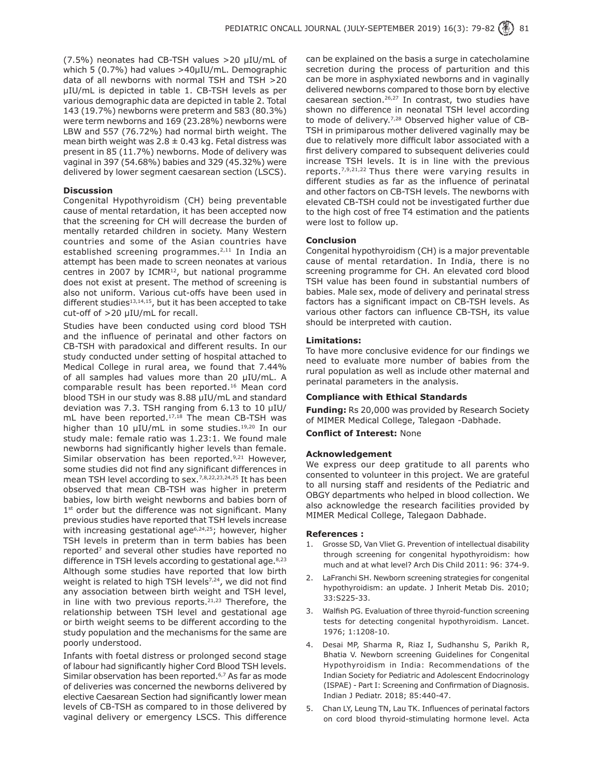(7.5%) neonates had CB-TSH values >20 µIU/mL of which 5 (0.7%) had values >40µIU/mL. Demographic data of all newborns with normal TSH and TSH >20 µIU/mL is depicted in table 1. CB-TSH levels as per various demographic data are depicted in table 2. Total 143 (19.7%) newborns were preterm and 583 (80.3%) were term newborns and 169 (23.28%) newborns were LBW and 557 (76.72%) had normal birth weight. The mean birth weight was  $2.8 \pm 0.43$  kg. Fetal distress was present in 85 (11.7%) newborns. Mode of delivery was vaginal in 397 (54.68%) babies and 329 (45.32%) were delivered by lower segment caesarean section (LSCS).

#### **Discussion**

Congenital Hypothyroidism (CH) being preventable cause of mental retardation, it has been accepted now that the screening for CH will decrease the burden of mentally retarded children in society. Many Western countries and some of the Asian countries have established screening programmes.<sup>2,11</sup> In India an attempt has been made to screen neonates at various centres in 2007 by ICMR $12$ , but national programme does not exist at present. The method of screening is also not uniform. Various cut-offs have been used in different studies<sup>13,14,15</sup>, but it has been accepted to take cut-off of >20 µIU/mL for recall.

Studies have been conducted using cord blood TSH and the influence of perinatal and other factors on CB-TSH with paradoxical and different results. In our study conducted under setting of hospital attached to Medical College in rural area, we found that 7.44% of all samples had values more than 20 µIU/mL. A comparable result has been reported.<sup>16</sup> Mean cord blood TSH in our study was 8.88 µIU/mL and standard deviation was 7.3. TSH ranging from 6.13 to 10 µIU/ mL have been reported.<sup>17,18</sup> The mean CB-TSH was higher than 10  $\mu$ IU/mL in some studies.<sup>19,20</sup> In our study male: female ratio was 1.23:1. We found male newborns had significantly higher levels than female. Similar observation has been reported.<sup>9,21</sup> However, some studies did not find any significant differences in mean TSH level according to sex.7,8,22,23,24,25 It has been observed that mean CB-TSH was higher in preterm babies, low birth weight newborns and babies born of  $1<sup>st</sup>$  order but the difference was not significant. Many previous studies have reported that TSH levels increase with increasing gestational age<sup>6,24,25</sup>; however, higher TSH levels in preterm than in term babies has been reported<sup>7</sup> and several other studies have reported no difference in TSH levels according to gestational age.<sup>8,23</sup> Although some studies have reported that low birth weight is related to high TSH levels<sup>7,24</sup>, we did not find any association between birth weight and TSH level, in line with two previous reports. $21,23$  Therefore, the relationship between TSH level and gestational age or birth weight seems to be different according to the study population and the mechanisms for the same are poorly understood.

Infants with foetal distress or prolonged second stage of labour had significantly higher Cord Blood TSH levels. Similar observation has been reported.<sup>6,7</sup> As far as mode of deliveries was concerned the newborns delivered by elective Caesarean Section had significantly lower mean levels of CB-TSH as compared to in those delivered by vaginal delivery or emergency LSCS. This difference

can be explained on the basis a surge in catecholamine secretion during the process of parturition and this can be more in asphyxiated newborns and in vaginally delivered newborns compared to those born by elective caesarean section.<sup>26,27</sup> In contrast, two studies have shown no difference in neonatal TSH level according to mode of delivery.<sup>7,28</sup> Observed higher value of CB-TSH in primiparous mother delivered vaginally may be due to relatively more difficult labor associated with a first delivery compared to subsequent deliveries could increase TSH levels. It is in line with the previous reports.7,9,21,22 Thus there were varying results in different studies as far as the influence of perinatal and other factors on CB-TSH levels. The newborns with elevated CB-TSH could not be investigated further due to the high cost of free T4 estimation and the patients were lost to follow up.

#### **Conclusion**

Congenital hypothyroidism (CH) is a major preventable cause of mental retardation. In India, there is no screening programme for CH. An elevated cord blood TSH value has been found in substantial numbers of babies. Male sex, mode of delivery and perinatal stress factors has a significant impact on CB-TSH levels. As various other factors can influence CB-TSH, its value should be interpreted with caution.

#### **Limitations:**

To have more conclusive evidence for our findings we need to evaluate more number of babies from the rural population as well as include other maternal and perinatal parameters in the analysis.

#### **Compliance with Ethical Standards**

**Funding:** Rs 20,000 was provided by Research Society of MIMER Medical College, Talegaon -Dabhade.

### **Conflict of Interest:** None

#### **Acknowledgement**

We express our deep gratitude to all parents who consented to volunteer in this project. We are grateful to all nursing staff and residents of the Pediatric and OBGY departments who helped in blood collection. We also acknowledge the research facilities provided by MIMER Medical College, Talegaon Dabhade.

#### **References :**

- 1. Grosse SD, Van Vliet G. Prevention of intellectual disability through screening for congenital hypothyroidism: how much and at what level? Arch Dis Child 2011: 96: 374-9.
- 2. LaFranchi SH. Newborn screening strategies for congenital hypothyroidism: an update. J Inherit Metab Dis. 2010; 33:S225-33.
- 3. Walfish PG. Evaluation of three thyroid-function screening tests for detecting congenital hypothyroidism. Lancet. 1976; 1:1208-10.
- 4. Desai MP, Sharma R, Riaz I, Sudhanshu S, Parikh R, Bhatia V. Newborn screening Guidelines for Congenital Hypothyroidism in India: Recommendations of the Indian Society for Pediatric and Adolescent Endocrinology (ISPAE) - Part I: Screening and Confirmation of Diagnosis. Indian J Pediatr. 2018; 85:440-47.
- 5. Chan LY, Leung TN, Lau TK. Influences of perinatal factors on cord blood thyroid-stimulating hormone level. Acta